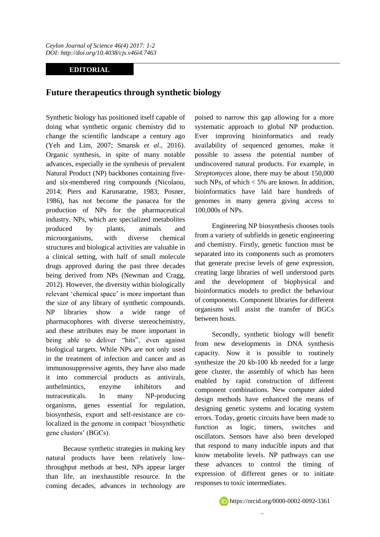## **EDITORIAL**

## **Future therapeutics through synthetic biology**

Synthetic biology has positioned itself capable of doing what synthetic organic chemistry did to change the scientific landscape a century ago (Yeh and Lim, 2007; Smansk *et al*., 2016). Organic synthesis, in spite of many notable advances, especially in the synthesis of prevalent Natural Product (NP) backbones containing fiveand six-membered ring compounds (Nicolaou, 2014; Piers and Karunaratne, 1983; Posner, 1986), has not become the panacea for the production of NPs for the pharmaceutical industry. NPs, which are specialized metabolites produced by plants, animals and microorganisms, with diverse chemical structures and biological activities are valuable in a clinical setting, with half of small molecule drugs approved during the past three decades being derived from NPs (Newman and Cragg, 2012). However, the diversity within biologically relevant 'chemical space' is more important than the size of any library of synthetic compounds. NP libraries show a wide range of pharmacophores with diverse stereochemistry, and these attributes may be more important in being able to deliver "hits", even against biological targets. While NPs are not only used in the treatment of infection and cancer and as immunosuppressive agents, they have also made it into commercial products as antivirals, anthelmintics, enzyme inhibitors and nutraceuticals. In many NP-producing organisms, genes essential for regulation, biosynthesis, export and self-resistance are colocalized in the genome in compact "biosynthetic gene clusters" (BGCs).

Because synthetic strategies in making key natural products have been relatively lowthroughput methods at best, NPs appear larger than life, an inexhaustible resource. In the coming decades, advances in technology are poised to narrow this gap allowing for a more systematic approach to global NP production. Ever improving bioinformatics and ready availability of sequenced genomes, make it possible to assess the potential number of undiscovered natural products. For example, in *Streptomyces* alone, there may be about 150,000 such NPs, of which  $\lt 5\%$  are known. In addition, bioinformatics have laid bare hundreds of genomes in many genera giving access to 100,000s of NPs.

Engineering NP biosynthesis chooses tools from a variety of subfields in genetic engineering and chemistry. Firstly, genetic function must be separated into its components such as promoters that generate precise levels of gene expression, creating large libraries of well understood parts and the development of biophysical and bioinformatics models to predict the behaviour of components. Component libraries for different organisms will assist the transfer of BGCs between hosts.

Secondly, synthetic biology will benefit from new developments in DNA synthesis capacity. Now it is possible to routinely synthesize the 20 kb-100 kb needed for a large gene cluster, the assembly of which has been enabled by rapid construction of different component combinations. New computer aided design methods have enhanced the means of designing genetic systems and locating system errors. Today, genetic circuits have been made to function as logic, timers, switches and oscillators. Sensors have also been developed that respond to many inducible inputs and that know metabolite levels. NP pathways can use these advances to control the timing of expression of different genes or to initiate responses to toxic intermediates.

 $\overline{0}$